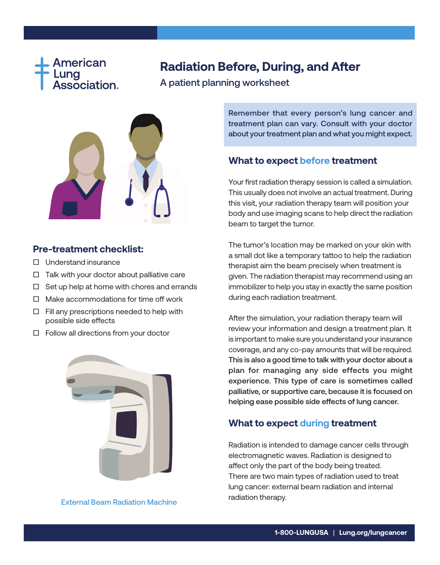

# **Radiation Before, During, and After**

A patient planning worksheet



#### **Pre-treatment checklist:**

- $\Box$  Understand insurance
- $\Box$  Talk with your doctor about palliative care
- $\Box$  Set up help at home with chores and errands
- □ Make accommodations for time off work
- □ Fill any prescriptions needed to help with possible side effects
- $\Box$  Follow all directions from your doctor



External Beam Radiation Machine

Remember that every person's lung cancer and treatment plan can vary. Consult with your doctor about your treatment plan and what you might expect.

## **What to expect before treatment**

Your first radiation therapy session is called a simulation. This usually does not involve an actual treatment. During this visit, your radiation therapy team will position your body and use imaging scans to help direct the radiation beam to target the tumor.

The tumor's location may be marked on your skin with a small dot like a temporary tattoo to help the radiation therapist aim the beam precisely when treatment is given. The radiation therapist may recommend using an immobilizer to help you stay in exactly the same position during each radiation treatment.

After the simulation, your radiation therapy team will review your information and design a treatment plan. It is important to make sure you understand your insurance coverage, and any co-pay amounts that will be required. This is also a good time to talk with your doctor about a plan for managing any side effects you might experience. This type of care is sometimes called palliative, or supportive care, because it is focused on helping ease possible side effects of lung cancer.

#### **What to expect during treatment**

Radiation is intended to damage cancer cells through electromagnetic waves. Radiation is designed to affect only the part of the body being treated. There are two main types of radiation used to treat lung cancer: external beam radiation and internal radiation therapy.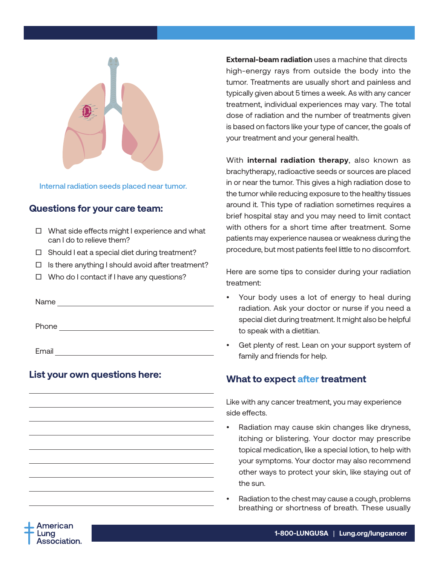

Internal radiation seeds placed near tumor.

#### **Questions for your care team:**

- □ What side effects might I experience and what can I do to relieve them?
- $\Box$  Should I eat a special diet during treatment?
- $\Box$  Is there anything I should avoid after treatment?
- □ Who do I contact if I have any questions?

Name Phone **Phone Phone Phone Phone** Email

## **List your own questions here:**

**External-beam radiation** uses a machine that directs high-energy rays from outside the body into the tumor. Treatments are usually short and painless and typically given about 5 times a week. As with any cancer treatment, individual experiences may vary. The total dose of radiation and the number of treatments given is based on factors like your type of cancer, the goals of your treatment and your general health.

With **internal radiation therapy**, also known as brachytherapy, radioactive seeds or sources are placed in or near the tumor. This gives a high radiation dose to the tumor while reducing exposure to the healthy tissues around it. This type of radiation sometimes requires a brief hospital stay and you may need to limit contact with others for a short time after treatment. Some patients may experience nausea or weakness during the procedure, but most patients feel little to no discomfort.

Here are some tips to consider during your radiation treatment:

- Your body uses a lot of energy to heal during radiation. Ask your doctor or nurse if you need a special diet during treatment. It might also be helpful to speak with a dietitian.
- Get plenty of rest. Lean on your support system of family and friends for help.

#### **What to expect after treatment**

Like with any cancer treatment, you may experience side effects.

- Radiation may cause skin changes like dryness, itching or blistering. Your doctor may prescribe topical medication, like a special lotion, to help with your symptoms. Your doctor may also recommend other ways to protect your skin, like staying out of the sun.
- Radiation to the chest may cause a cough, problems breathing or shortness of breath. These usually